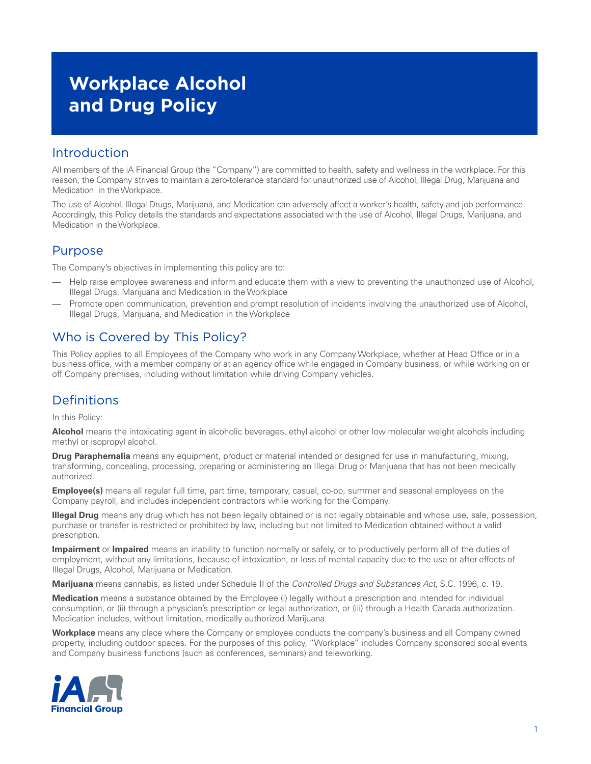# **Workplace Alcohol and Drug Policy**

### Introduction

All members of the iA Financial Group (the "Company") are committed to health, safety and wellness in the workplace. For this reason, the Company strives to maintain a zero-tolerance standard for unauthorized use of Alcohol, Illegal Drug, Marijuana and Medication in the Workplace.

The use of Alcohol, Illegal Drugs, Marijuana, and Medication can adversely affect a worker's health, safety and job performance. Accordingly, this Policy details the standards and expectations associated with the use of Alcohol, Illegal Drugs, Marijuana, and Medication in the Workplace.

### Purpose

The Company's objectives in implementing this policy are to:

- Help raise employee awareness and inform and educate them with a view to preventing the unauthorized use of Alcohol, Illegal Drugs, Marijuana and Medication in the Workplace
- Promote open communication, prevention and prompt resolution of incidents involving the unauthorized use of Alcohol, Illegal Drugs, Marijuana, and Medication in the Workplace

# Who is Covered by This Policy?

This Policy applies to all Employees of the Company who work in any Company Workplace, whether at Head Office or in a business office, with a member company or at an agency office while engaged in Company business, or while working on or off Company premises, including without limitation while driving Company vehicles.

# Definitions

In this Policy:

**Alcohol** means the intoxicating agent in alcoholic beverages, ethyl alcohol or other low molecular weight alcohols including methyl or isopropyl alcohol.

**Drug Paraphernalia** means any equipment, product or material intended or designed for use in manufacturing, mixing, transforming, concealing, processing, preparing or administering an Illegal Drug or Marijuana that has not been medically authorized.

**Employee(s)** means all regular full time, part time, temporary, casual, co-op, summer and seasonal employees on the Company payroll, and includes independent contractors while working for the Company.

**Illegal Drug** means any drug which has not been legally obtained or is not legally obtainable and whose use, sale, possession, purchase or transfer is restricted or prohibited by law, including but not limited to Medication obtained without a valid prescription.

**Impairment** or **Impaired** means an inability to function normally or safely, or to productively perform all of the duties of employment, without any limitations, because of intoxication, or loss of mental capacity due to the use or after-effects of Illegal Drugs, Alcohol, Marijuana or Medication.

**Marijuana** means cannabis, as listed under Schedule II of the *Controlled Drugs and Substances Act*, S.C. 1996, c. 19.

**Medication** means a substance obtained by the Employee (i) legally without a prescription and intended for individual consumption, or (ii) through a physician's prescription or legal authorization, or (iii) through a Health Canada authorization. Medication includes, without limitation, medically authorized Marijuana.

**Workplace** means any place where the Company or employee conducts the company's business and all Company owned property, including outdoor spaces. For the purposes of this policy, "Workplace" includes Company sponsored social events and Company business functions (such as conferences, seminars) and teleworking.

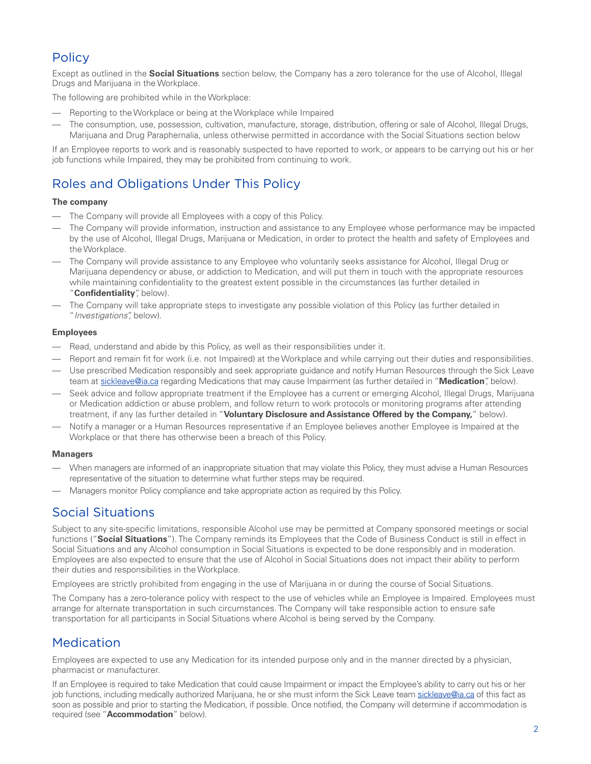# **Policy**

Except as outlined in the **Social Situations** section below, the Company has a zero tolerance for the use of Alcohol, Illegal Drugs and Marijuana in the Workplace.

The following are prohibited while in the Workplace:

- Reporting to the Workplace or being at the Workplace while Impaired
- The consumption, use, possession, cultivation, manufacture, storage, distribution, offering or sale of Alcohol, Illegal Drugs, Marijuana and Drug Paraphernalia, unless otherwise permitted in accordance with the Social Situations section below

If an Employee reports to work and is reasonably suspected to have reported to work, or appears to be carrying out his or her job functions while Impaired, they may be prohibited from continuing to work.

# Roles and Obligations Under This Policy

#### **The company**

- The Company will provide all Employees with a copy of this Policy.
- The Company will provide information, instruction and assistance to any Employee whose performance may be impacted by the use of Alcohol, Illegal Drugs, Marijuana or Medication, in order to protect the health and safety of Employees and the Workplace.
- The Company will provide assistance to any Employee who voluntarily seeks assistance for Alcohol, Illegal Drug or Marijuana dependency or abuse, or addiction to Medication, and will put them in touch with the appropriate resources while maintaining confidentiality to the greatest extent possible in the circumstances (as further detailed in "**Confidentiality**", below).
- The Company will take appropriate steps to investigate any possible violation of this Policy (as further detailed in "*Investigations*", below).

#### **Employees**

- Read, understand and abide by this Policy, as well as their responsibilities under it.
- Report and remain fit for work (i.e. not Impaired) at the Workplace and while carrying out their duties and responsibilities.
- Use prescribed Medication responsibly and seek appropriate guidance and notify Human Resources through the Sick Leave team at [sickleave@ia.ca](mailto:sickleave%40ia.ca?subject=) regarding Medications that may cause Impairment (as further detailed in "**Medication**", below).
- Seek advice and follow appropriate treatment if the Employee has a current or emerging Alcohol, Illegal Drugs, Marijuana or Medication addiction or abuse problem, and follow return to work protocols or monitoring programs after attending treatment, if any (as further detailed in "**Voluntary Disclosure and Assistance Offered by the Company,**" below).
- Notify a manager or a Human Resources representative if an Employee believes another Employee is Impaired at the Workplace or that there has otherwise been a breach of this Policy.

#### **Managers**

- When managers are informed of an inappropriate situation that may violate this Policy, they must advise a Human Resources representative of the situation to determine what further steps may be required.
- Managers monitor Policy compliance and take appropriate action as required by this Policy.

### Social Situations

Subject to any site-specific limitations, responsible Alcohol use may be permitted at Company sponsored meetings or social functions ("**Social Situations**"). The Company reminds its Employees that the Code of Business Conduct is still in effect in Social Situations and any Alcohol consumption in Social Situations is expected to be done responsibly and in moderation. Employees are also expected to ensure that the use of Alcohol in Social Situations does not impact their ability to perform their duties and responsibilities in the Workplace.

Employees are strictly prohibited from engaging in the use of Marijuana in or during the course of Social Situations.

The Company has a zero-tolerance policy with respect to the use of vehicles while an Employee is Impaired. Employees must arrange for alternate transportation in such circumstances. The Company will take responsible action to ensure safe transportation for all participants in Social Situations where Alcohol is being served by the Company.

# Medication

Employees are expected to use any Medication for its intended purpose only and in the manner directed by a physician, pharmacist or manufacturer.

If an Employee is required to take Medication that could cause Impairment or impact the Employee's ability to carry out his or her job functions, including medically authorized Marijuana, he or she must inform the Sick Leave team [sickleave@ia.ca](mailto:sickleave%40ia.ca?subject=) of this fact as soon as possible and prior to starting the Medication, if possible. Once notified, the Company will determine if accommodation is required (see "**Accommodation**" below).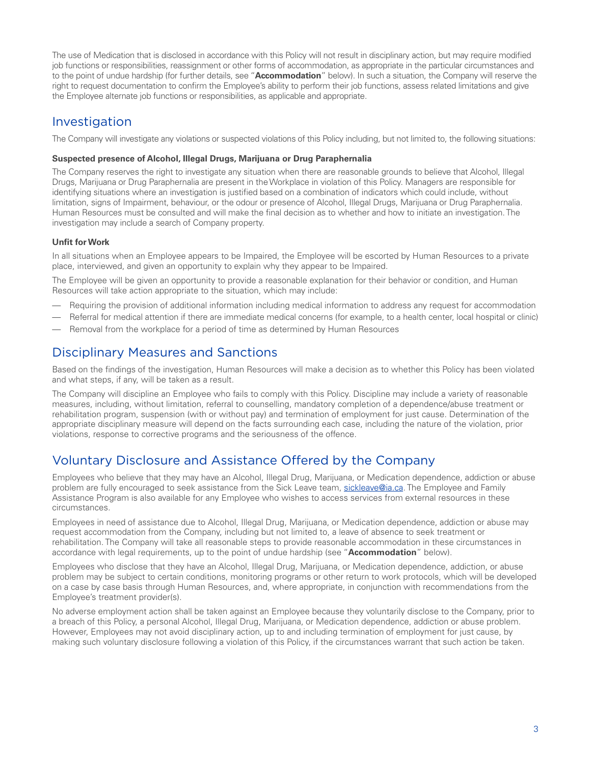The use of Medication that is disclosed in accordance with this Policy will not result in disciplinary action, but may require modified job functions or responsibilities, reassignment or other forms of accommodation, as appropriate in the particular circumstances and to the point of undue hardship (for further details, see "**Accommodation**" below). In such a situation, the Company will reserve the right to request documentation to confirm the Employee's ability to perform their job functions, assess related limitations and give the Employee alternate job functions or responsibilities, as applicable and appropriate.

### Investigation

The Company will investigate any violations or suspected violations of this Policy including, but not limited to, the following situations:

#### **Suspected presence of Alcohol, Illegal Drugs, Marijuana or Drug Paraphernalia**

The Company reserves the right to investigate any situation when there are reasonable grounds to believe that Alcohol, Illegal Drugs, Marijuana or Drug Paraphernalia are present in the Workplace in violation of this Policy. Managers are responsible for identifying situations where an investigation is justified based on a combination of indicators which could include, without limitation, signs of Impairment, behaviour, or the odour or presence of Alcohol, Illegal Drugs, Marijuana or Drug Paraphernalia. Human Resources must be consulted and will make the final decision as to whether and how to initiate an investigation. The investigation may include a search of Company property.

### **Unfit for Work**

In all situations when an Employee appears to be Impaired, the Employee will be escorted by Human Resources to a private place, interviewed, and given an opportunity to explain why they appear to be Impaired.

The Employee will be given an opportunity to provide a reasonable explanation for their behavior or condition, and Human Resources will take action appropriate to the situation, which may include:

- Requiring the provision of additional information including medical information to address any request for accommodation
- Referral for medical attention if there are immediate medical concerns (for example, to a health center, local hospital or clinic)
- Removal from the workplace for a period of time as determined by Human Resources

### Disciplinary Measures and Sanctions

Based on the findings of the investigation, Human Resources will make a decision as to whether this Policy has been violated and what steps, if any, will be taken as a result.

The Company will discipline an Employee who fails to comply with this Policy. Discipline may include a variety of reasonable measures, including, without limitation, referral to counselling, mandatory completion of a dependence/abuse treatment or rehabilitation program, suspension (with or without pay) and termination of employment for just cause. Determination of the appropriate disciplinary measure will depend on the facts surrounding each case, including the nature of the violation, prior violations, response to corrective programs and the seriousness of the offence.

# Voluntary Disclosure and Assistance Offered by the Company

Employees who believe that they may have an Alcohol, Illegal Drug, Marijuana, or Medication dependence, addiction or abuse problem are fully encouraged to seek assistance from the Sick Leave team, [sickleave@ia.ca.](mailto:sickleave%40ia.ca?subject=) The Employee and Family Assistance Program is also available for any Employee who wishes to access services from external resources in these circumstances.

Employees in need of assistance due to Alcohol, Illegal Drug, Marijuana, or Medication dependence, addiction or abuse may request accommodation from the Company, including but not limited to, a leave of absence to seek treatment or rehabilitation. The Company will take all reasonable steps to provide reasonable accommodation in these circumstances in accordance with legal requirements, up to the point of undue hardship (see "**Accommodation**" below).

Employees who disclose that they have an Alcohol, Illegal Drug, Marijuana, or Medication dependence, addiction, or abuse problem may be subject to certain conditions, monitoring programs or other return to work protocols, which will be developed on a case by case basis through Human Resources, and, where appropriate, in conjunction with recommendations from the Employee's treatment provider(s).

No adverse employment action shall be taken against an Employee because they voluntarily disclose to the Company, prior to a breach of this Policy, a personal Alcohol, Illegal Drug, Marijuana, or Medication dependence, addiction or abuse problem. However, Employees may not avoid disciplinary action, up to and including termination of employment for just cause, by making such voluntary disclosure following a violation of this Policy, if the circumstances warrant that such action be taken.